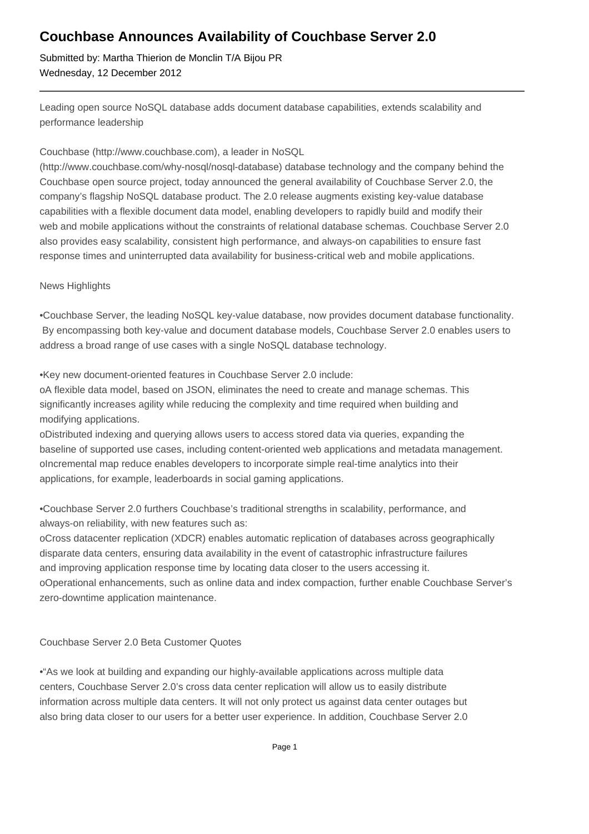# **Couchbase Announces Availability of Couchbase Server 2.0**

Submitted by: Martha Thierion de Monclin T/A Bijou PR Wednesday, 12 December 2012

Leading open source NoSQL database adds document database capabilities, extends scalability and performance leadership

#### Couchbase (http://www.couchbase.com), a leader in NoSQL

(http://www.couchbase.com/why-nosql/nosql-database) database technology and the company behind the Couchbase open source project, today announced the general availability of Couchbase Server 2.0, the company's flagship NoSQL database product. The 2.0 release augments existing key-value database capabilities with a flexible document data model, enabling developers to rapidly build and modify their web and mobile applications without the constraints of relational database schemas. Couchbase Server 2.0 also provides easy scalability, consistent high performance, and always-on capabilities to ensure fast response times and uninterrupted data availability for business-critical web and mobile applications.

## News Highlights

• Couchbase Server, the leading NoSQL key-value database, now provides document database functionality. By encompassing both key-value and document database models, Couchbase Server 2.0 enables users to address a broad range of use cases with a single NoSQL database technology.

• Key new document-oriented features in Couchbase Server 2.0 include:

o A flexible data model, based on JSON, eliminates the need to create and manage schemas. This significantly increases agility while reducing the complexity and time required when building and modifying applications.

o Distributed indexing and querying allows users to access stored data via queries, expanding the baseline of supported use cases, including content-oriented web applications and metadata management. o Incremental map reduce enables developers to incorporate simple real-time analytics into their applications, for example, leaderboards in social gaming applications.

• Couchbase Server 2.0 furthers Couchbase's traditional strengths in scalability, performance, and always-on reliability, with new features such as:

o Cross datacenter replication (XDCR) enables automatic replication of databases across geographically disparate data centers, ensuring data availability in the event of catastrophic infrastructure failures and improving application response time by locating data closer to the users accessing it. o Operational enhancements, such as online data and index compaction, further enable Couchbase Server's zero-downtime application maintenance.

Couchbase Server 2.0 Beta Customer Quotes

• "As we look at building and expanding our highly-available applications across multiple data centers, Couchbase Server 2.0's cross data center replication will allow us to easily distribute information across multiple data centers. It will not only protect us against data center outages but also bring data closer to our users for a better user experience. In addition, Couchbase Server 2.0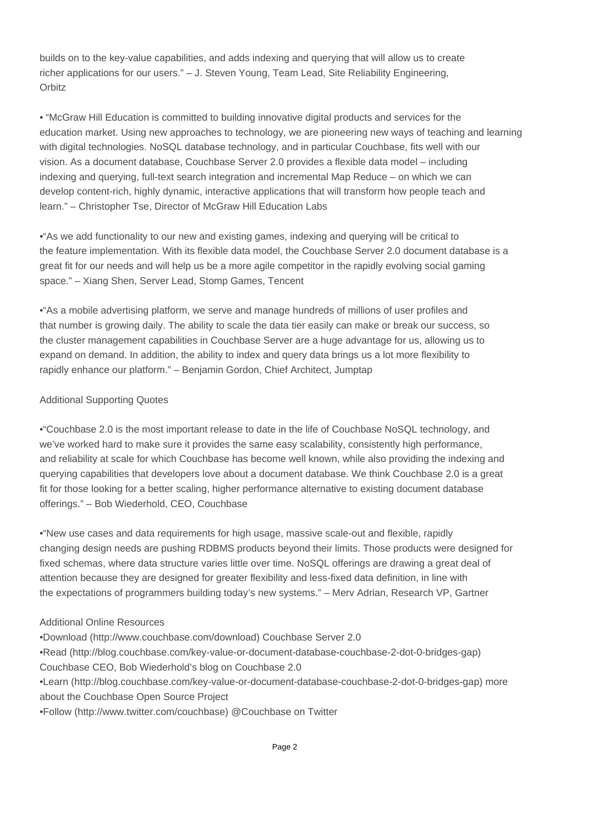builds on to the key-value capabilities, and adds indexing and querying that will allow us to create richer applications for our users." – J. Steven Young, Team Lead, Site Reliability Engineering, **Orbitz** 

• "McGraw Hill Education is committed to building innovative digital products and services for the education market. Using new approaches to technology, we are pioneering new ways of teaching and learning with digital technologies. NoSQL database technology, and in particular Couchbase, fits well with our vision. As a document database, Couchbase Server 2.0 provides a flexible data model – including indexing and querying, full-text search integration and incremental Map Reduce – on which we can develop content-rich, highly dynamic, interactive applications that will transform how people teach and learn." – Christopher Tse, Director of McGraw Hill Education Labs

• "As we add functionality to our new and existing games, indexing and querying will be critical to the feature implementation. With its flexible data model, the Couchbase Server 2.0 document database is a great fit for our needs and will help us be a more agile competitor in the rapidly evolving social gaming space." – Xiang Shen, Server Lead, Stomp Games, Tencent

• "As a mobile advertising platform, we serve and manage hundreds of millions of user profiles and that number is growing daily. The ability to scale the data tier easily can make or break our success, so the cluster management capabilities in Couchbase Server are a huge advantage for us, allowing us to expand on demand. In addition, the ability to index and query data brings us a lot more flexibility to rapidly enhance our platform." – Benjamin Gordon, Chief Architect, Jumptap

## Additional Supporting Quotes

• "Couchbase 2.0 is the most important release to date in the life of Couchbase NoSQL technology, and we've worked hard to make sure it provides the same easy scalability, consistently high performance, and reliability at scale for which Couchbase has become well known, while also providing the indexing and querying capabilities that developers love about a document database. We think Couchbase 2.0 is a great fit for those looking for a better scaling, higher performance alternative to existing document database offerings." – Bob Wiederhold, CEO, Couchbase

• "New use cases and data requirements for high usage, massive scale-out and flexible, rapidly changing design needs are pushing RDBMS products beyond their limits. Those products were designed for fixed schemas, where data structure varies little over time. NoSQL offerings are drawing a great deal of attention because they are designed for greater flexibility and less-fixed data definition, in line with the expectations of programmers building today's new systems." – Merv Adrian, Research VP, Gartner

#### Additional Online Resources

- • Download (http://www.couchbase.com/download) Couchbase Server 2.0
- • Read (http://blog.couchbase.com/key-value-or-document-database-couchbase-2-dot-0-bridges-gap) Couchbase CEO, Bob Wiederhold's blog on Couchbase 2.0
- • Learn (http://blog.couchbase.com/key-value-or-document-database-couchbase-2-dot-0-bridges-gap) more about the Couchbase Open Source Project
- • Follow (http://www.twitter.com/couchbase) @Couchbase on Twitter